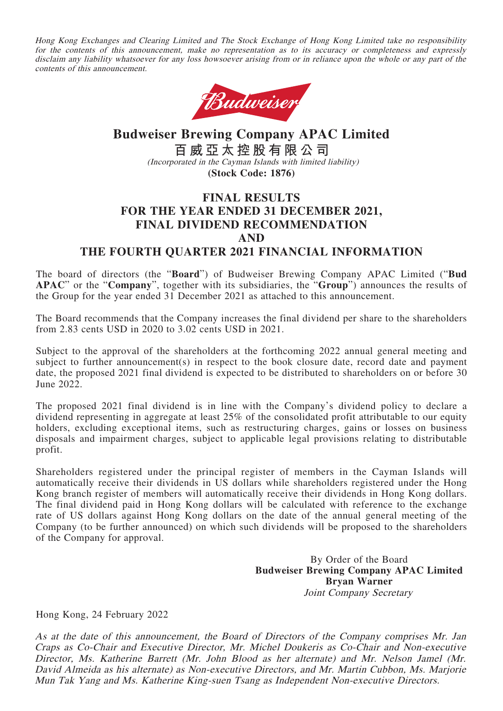Hong Kong Exchanges and Clearing Limited and The Stock Exchange of Hong Kong Limited take no responsibility for the contents of this announcement, make no representation as to its accuracy or completeness and expressly disclaim any liability whatsoever for any loss howsoever arising from or in reliance upon the whole or any part of the contents of this announcement.



## **Budweiser Brewing Company APAC Limited 百威亞太控股有限公司** (Incorporated in the Cayman Islands with limited liability) **(Stock Code: 1876)**

## **FINAL RESULTS FOR THE YEAR ENDED 31 DECEMBER 2021, FINAL DIVIDEND RECOMMENDATION AND**

### **THE FOURTH QUARTER 2021 FINANCIAL INFORMATION**

The board of directors (the "**Board**") of Budweiser Brewing Company APAC Limited ("**Bud APAC**" or the "**Company**", together with its subsidiaries, the "**Group**") announces the results of the Group for the year ended 31 December 2021 as attached to this announcement.

The Board recommends that the Company increases the final dividend per share to the shareholders from 2.83 cents USD in 2020 to 3.02 cents USD in 2021.

Subject to the approval of the shareholders at the forthcoming 2022 annual general meeting and subject to further announcement(s) in respect to the book closure date, record date and payment date, the proposed 2021 final dividend is expected to be distributed to shareholders on or before 30 June 2022.

The proposed 2021 final dividend is in line with the Company's dividend policy to declare a dividend representing in aggregate at least 25% of the consolidated profit attributable to our equity holders, excluding exceptional items, such as restructuring charges, gains or losses on business disposals and impairment charges, subject to applicable legal provisions relating to distributable profit.

Shareholders registered under the principal register of members in the Cayman Islands will automatically receive their dividends in US dollars while shareholders registered under the Hong Kong branch register of members will automatically receive their dividends in Hong Kong dollars. The final dividend paid in Hong Kong dollars will be calculated with reference to the exchange rate of US dollars against Hong Kong dollars on the date of the annual general meeting of the Company (to be further announced) on which such dividends will be proposed to the shareholders of the Company for approval.

> By Order of the Board **Budweiser Brewing Company APAC Limited Bryan Warner** Joint Company Secretary

Hong Kong, 24 February 2022

As at the date of this announcement, the Board of Directors of the Company comprises Mr. Jan Craps as Co-Chair and Executive Director, Mr. Michel Doukeris as Co-Chair and Non-executive Director, Ms. Katherine Barrett (Mr. John Blood as her alternate) and Mr. Nelson Jamel (Mr. David Almeida as his alternate) as Non-executive Directors, and Mr. Martin Cubbon, Ms. Marjorie Mun Tak Yang and Ms. Katherine King-suen Tsang as Independent Non-executive Directors.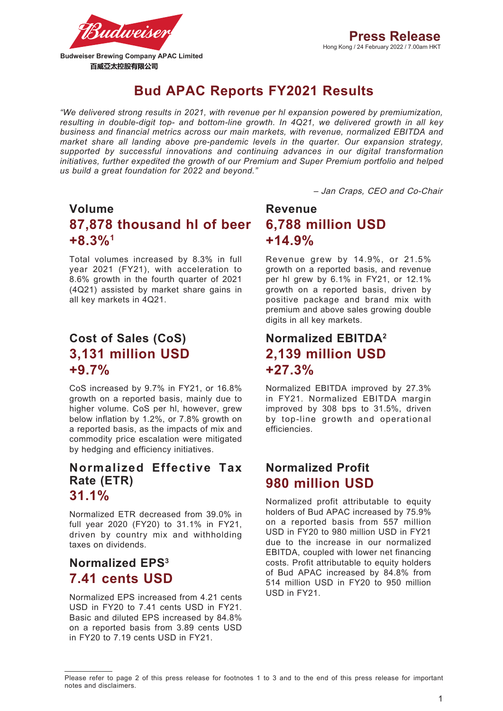

# **Bud APAC Reports FY2021 Results**

*"We delivered strong results in 2021, with revenue per hl expansion powered by premiumization, resulting in double-digit top- and bottom-line growth. In 4Q21, we delivered growth in all key business and financial metrics across our main markets, with revenue, normalized EBITDA and market share all landing above pre-pandemic levels in the quarter. Our expansion strategy, supported by successful innovations and continuing advances in our digital transformation initiatives, further expedited the growth of our Premium and Super Premium portfolio and helped us build a great foundation for 2022 and beyond."*

– Jan Craps, CEO and Co-Chair

# **Volume 87,878 thousand hl of beer +8.3%1**

Total volumes increased by 8.3% in full year 2021 (FY21), with acceleration to 8.6% growth in the fourth quarter of 2021 (4Q21) assisted by market share gains in all key markets in 4Q21.

# **Cost of Sales (CoS) 3,131 million USD +9.7%**

CoS increased by 9.7% in FY21, or 16.8% growth on a reported basis, mainly due to higher volume. CoS per hl, however, grew below inflation by 1.2%, or 7.8% growth on a reported basis, as the impacts of mix and commodity price escalation were mitigated by hedging and efficiency initiatives.

# **Normalized Effective Tax Rate (ETR)**

# **31.1%**

Normalized ETR decreased from 39.0% in full year 2020 (FY20) to 31.1% in FY21, driven by country mix and withholding taxes on dividends.

# **Normalized EPS3 7.41 cents USD**

Normalized EPS increased from 4.21 cents USD in FY20 to 7.41 cents USD in FY21. Basic and diluted EPS increased by 84.8% on a reported basis from 3.89 cents USD in FY20 to 7.19 cents USD in FY21.

# **Revenue 6,788 million USD +14.9%**

Revenue grew by 14.9%, or 21.5% growth on a reported basis, and revenue per hl grew by 6.1% in FY21, or 12.1% growth on a reported basis, driven by positive package and brand mix with premium and above sales growing double digits in all key markets.

# **Normalized EBITDA2 2,139 million USD +27.3%**

Normalized EBITDA improved by 27.3% in FY21. Normalized EBITDA margin improved by 308 bps to 31.5%, driven by top-line growth and operational efficiencies.

# **Normalized Profit 980 million USD**

Normalized profit attributable to equity holders of Bud APAC increased by 75.9% on a reported basis from 557 million USD in FY20 to 980 million USD in FY21 due to the increase in our normalized EBITDA, coupled with lower net financing costs. Profit attributable to equity holders of Bud APAC increased by 84.8% from 514 million USD in FY20 to 950 million USD in FY21.

Please refer to page 2 of this press release for footnotes 1 to 3 and to the end of this press release for important notes and disclaimers.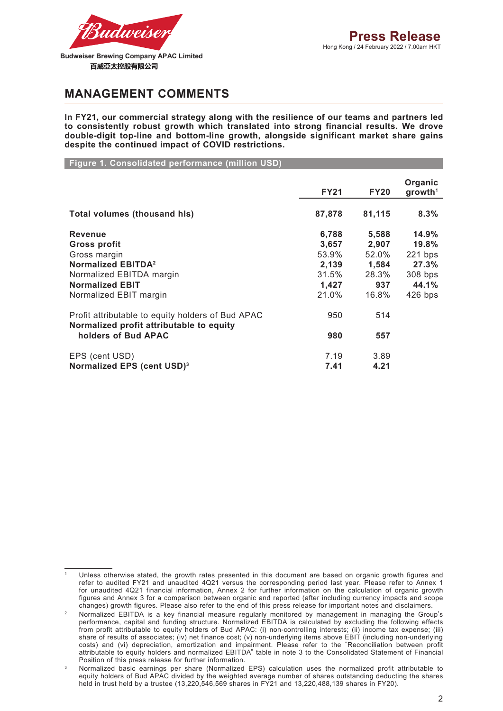

百威亞太控股有限公司

### **MANAGEMENT COMMENTS**

**In FY21, our commercial strategy along with the resilience of our teams and partners led to consistently robust growth which translated into strong financial results. We drove double-digit top-line and bottom-line growth, alongside significant market share gains despite the continued impact of COVID restrictions.**

**Figure 1. Consolidated performance (million USD)**

|                                                                                               | <b>FY21</b> | <b>FY20</b> | Organic<br>growth <sup>1</sup> |
|-----------------------------------------------------------------------------------------------|-------------|-------------|--------------------------------|
| <b>Total volumes (thousand his)</b>                                                           | 87,878      | 81,115      | 8.3%                           |
| <b>Revenue</b>                                                                                | 6,788       | 5,588       | 14.9%                          |
| Gross profit                                                                                  | 3,657       | 2,907       | 19.8%                          |
| Gross margin                                                                                  | 53.9%       | 52.0%       | $221$ bps                      |
| <b>Normalized EBITDA<sup>2</sup></b>                                                          | 2,139       | 1,584       | 27.3%                          |
| Normalized EBITDA margin                                                                      | 31.5%       | 28.3%       | 308 bps                        |
| <b>Normalized EBIT</b>                                                                        | 1,427       | 937         | 44.1%                          |
| Normalized EBIT margin                                                                        | 21.0%       | 16.8%       | $426$ bps                      |
| Profit attributable to equity holders of Bud APAC<br>Normalized profit attributable to equity | 950         | 514         |                                |
| holders of Bud APAC                                                                           | 980         | 557         |                                |
| EPS (cent USD)                                                                                | 7.19        | 3.89        |                                |
| Normalized EPS (cent USD) <sup>3</sup>                                                        | 7.41        | 4.21        |                                |

Unless otherwise stated, the growth rates presented in this document are based on organic growth figures and refer to audited FY21 and unaudited 4Q21 versus the corresponding period last year. Please refer to Annex 1 for unaudited 4Q21 financial information, Annex 2 for further information on the calculation of organic growth figures and Annex 3 for a comparison between organic and reported (after including currency impacts and scope changes) growth figures. Please also refer to the end of this press release for important notes and disclaimers.

<sup>&</sup>lt;sup>2</sup> Normalized EBITDA is a key financial measure regularly monitored by management in managing the Group's performance, capital and funding structure. Normalized EBITDA is calculated by excluding the following effects from profit attributable to equity holders of Bud APAC: (i) non-controlling interests; (ii) income tax expense; (iii) share of results of associates; (iv) net finance cost; (v) non-underlying items above EBIT (including non-underlying costs) and (vi) depreciation, amortization and impairment. Please refer to the "Reconciliation between profit attributable to equity holders and normalized EBITDA" table in note 3 to the Consolidated Statement of Financial Position of this press release for further information.

<sup>&</sup>lt;sup>3</sup> Normalized basic earnings per share (Normalized EPS) calculation uses the normalized profit attributable to equity holders of Bud APAC divided by the weighted average number of shares outstanding deducting the shares held in trust held by a trustee (13,220,546,569 shares in FY21 and 13,220,488,139 shares in FY20).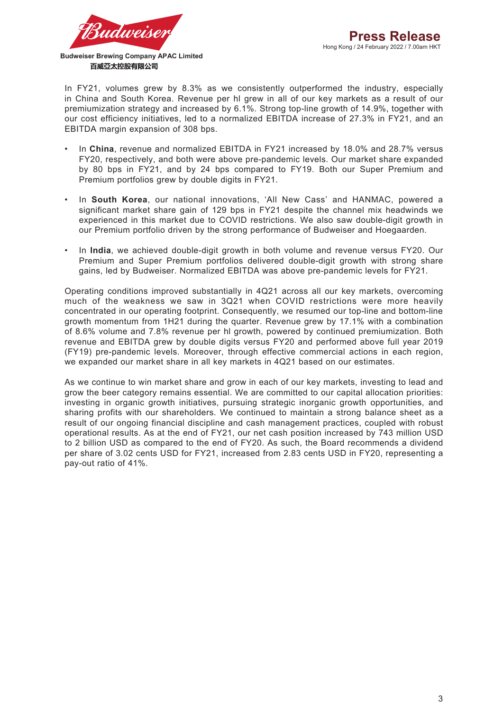

百威亞太控股有限公司

In FY21, volumes grew by 8.3% as we consistently outperformed the industry, especially in China and South Korea. Revenue per hl grew in all of our key markets as a result of our premiumization strategy and increased by 6.1%. Strong top-line growth of 14.9%, together with our cost efficiency initiatives, led to a normalized EBITDA increase of 27.3% in FY21, and an EBITDA margin expansion of 308 bps.

- In **China**, revenue and normalized EBITDA in FY21 increased by 18.0% and 28.7% versus FY20, respectively, and both were above pre-pandemic levels. Our market share expanded by 80 bps in FY21, and by 24 bps compared to FY19. Both our Super Premium and Premium portfolios grew by double digits in FY21.
- In **South Korea**, our national innovations, 'All New Cass' and HANMAC, powered a significant market share gain of 129 bps in FY21 despite the channel mix headwinds we experienced in this market due to COVID restrictions. We also saw double-digit growth in our Premium portfolio driven by the strong performance of Budweiser and Hoegaarden.
- In **India**, we achieved double-digit growth in both volume and revenue versus FY20. Our Premium and Super Premium portfolios delivered double-digit growth with strong share gains, led by Budweiser. Normalized EBITDA was above pre-pandemic levels for FY21.

Operating conditions improved substantially in 4Q21 across all our key markets, overcoming much of the weakness we saw in 3Q21 when COVID restrictions were more heavily concentrated in our operating footprint. Consequently, we resumed our top-line and bottom-line growth momentum from 1H21 during the quarter. Revenue grew by 17.1% with a combination of 8.6% volume and 7.8% revenue per hl growth, powered by continued premiumization. Both revenue and EBITDA grew by double digits versus FY20 and performed above full year 2019 (FY19) pre-pandemic levels. Moreover, through effective commercial actions in each region, we expanded our market share in all key markets in 4Q21 based on our estimates.

As we continue to win market share and grow in each of our key markets, investing to lead and grow the beer category remains essential. We are committed to our capital allocation priorities: investing in organic growth initiatives, pursuing strategic inorganic growth opportunities, and sharing profits with our shareholders. We continued to maintain a strong balance sheet as a result of our ongoing financial discipline and cash management practices, coupled with robust operational results. As at the end of FY21, our net cash position increased by 743 million USD to 2 billion USD as compared to the end of FY20. As such, the Board recommends a dividend per share of 3.02 cents USD for FY21, increased from 2.83 cents USD in FY20, representing a pay-out ratio of 41%.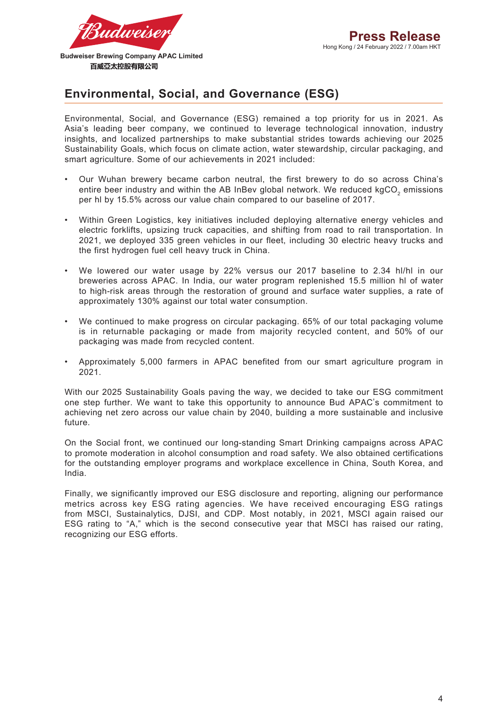# **Environmental, Social, and Governance (ESG)**

Environmental, Social, and Governance (ESG) remained a top priority for us in 2021. As Asia's leading beer company, we continued to leverage technological innovation, industry insights, and localized partnerships to make substantial strides towards achieving our 2025 Sustainability Goals, which focus on climate action, water stewardship, circular packaging, and smart agriculture. Some of our achievements in 2021 included:

- Our Wuhan brewery became carbon neutral, the first brewery to do so across China's entire beer industry and within the AB InBev global network. We reduced kgCO<sub>2</sub> emissions per hl by 15.5% across our value chain compared to our baseline of 2017.
- Within Green Logistics, key initiatives included deploying alternative energy vehicles and electric forklifts, upsizing truck capacities, and shifting from road to rail transportation. In 2021, we deployed 335 green vehicles in our fleet, including 30 electric heavy trucks and the first hydrogen fuel cell heavy truck in China.
- We lowered our water usage by 22% versus our 2017 baseline to 2.34 hl/hl in our breweries across APAC. In India, our water program replenished 15.5 million hl of water to high-risk areas through the restoration of ground and surface water supplies, a rate of approximately 130% against our total water consumption.
- We continued to make progress on circular packaging. 65% of our total packaging volume is in returnable packaging or made from majority recycled content, and 50% of our packaging was made from recycled content.
- Approximately 5,000 farmers in APAC benefited from our smart agriculture program in 2021.

With our 2025 Sustainability Goals paving the way, we decided to take our ESG commitment one step further. We want to take this opportunity to announce Bud APAC's commitment to achieving net zero across our value chain by 2040, building a more sustainable and inclusive future.

On the Social front, we continued our long-standing Smart Drinking campaigns across APAC to promote moderation in alcohol consumption and road safety. We also obtained certifications for the outstanding employer programs and workplace excellence in China, South Korea, and India.

Finally, we significantly improved our ESG disclosure and reporting, aligning our performance metrics across key ESG rating agencies. We have received encouraging ESG ratings from MSCI, Sustainalytics, DJSI, and CDP. Most notably, in 2021, MSCI again raised our ESG rating to "A," which is the second consecutive year that MSCI has raised our rating, recognizing our ESG efforts.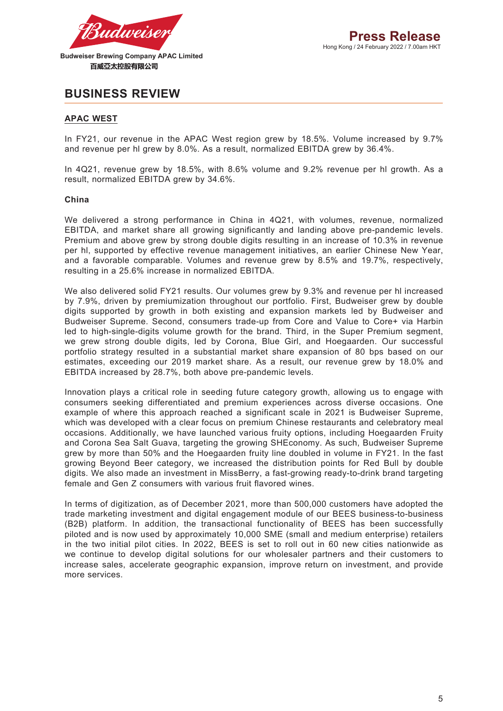

### **BUSINESS REVIEW**

#### **APAC WEST**

In FY21, our revenue in the APAC West region grew by 18.5%. Volume increased by 9.7% and revenue per hl grew by 8.0%. As a result, normalized EBITDA grew by 36.4%.

In 4Q21, revenue grew by 18.5%, with 8.6% volume and 9.2% revenue per hl growth. As a result, normalized EBITDA grew by 34.6%.

#### **China**

We delivered a strong performance in China in 4Q21, with volumes, revenue, normalized EBITDA, and market share all growing significantly and landing above pre-pandemic levels. Premium and above grew by strong double digits resulting in an increase of 10.3% in revenue per hl, supported by effective revenue management initiatives, an earlier Chinese New Year, and a favorable comparable. Volumes and revenue grew by 8.5% and 19.7%, respectively, resulting in a 25.6% increase in normalized EBITDA.

We also delivered solid FY21 results. Our volumes grew by 9.3% and revenue per hl increased by 7.9%, driven by premiumization throughout our portfolio. First, Budweiser grew by double digits supported by growth in both existing and expansion markets led by Budweiser and Budweiser Supreme. Second, consumers trade-up from Core and Value to Core+ via Harbin led to high-single-digits volume growth for the brand. Third, in the Super Premium segment, we grew strong double digits, led by Corona, Blue Girl, and Hoegaarden. Our successful portfolio strategy resulted in a substantial market share expansion of 80 bps based on our estimates, exceeding our 2019 market share. As a result, our revenue grew by 18.0% and EBITDA increased by 28.7%, both above pre-pandemic levels.

Innovation plays a critical role in seeding future category growth, allowing us to engage with consumers seeking differentiated and premium experiences across diverse occasions. One example of where this approach reached a significant scale in 2021 is Budweiser Supreme, which was developed with a clear focus on premium Chinese restaurants and celebratory meal occasions. Additionally, we have launched various fruity options, including Hoegaarden Fruity and Corona Sea Salt Guava, targeting the growing SHEconomy. As such, Budweiser Supreme grew by more than 50% and the Hoegaarden fruity line doubled in volume in FY21. In the fast growing Beyond Beer category, we increased the distribution points for Red Bull by double digits. We also made an investment in MissBerry, a fast-growing ready-to-drink brand targeting female and Gen Z consumers with various fruit flavored wines.

In terms of digitization, as of December 2021, more than 500,000 customers have adopted the trade marketing investment and digital engagement module of our BEES business-to-business (B2B) platform. In addition, the transactional functionality of BEES has been successfully piloted and is now used by approximately 10,000 SME (small and medium enterprise) retailers in the two initial pilot cities. In 2022, BEES is set to roll out in 60 new cities nationwide as we continue to develop digital solutions for our wholesaler partners and their customers to increase sales, accelerate geographic expansion, improve return on investment, and provide more services.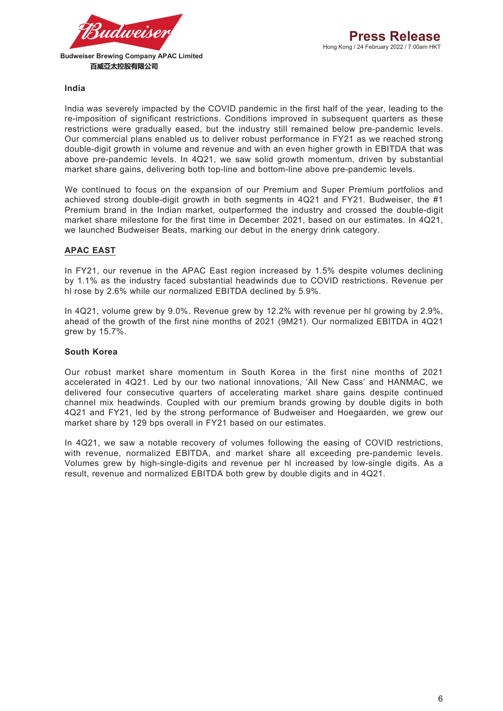

#### **India**

India was severely impacted by the COVID pandemic in the first half of the year, leading to the re-imposition of significant restrictions. Conditions improved in subsequent quarters as these restrictions were gradually eased, but the industry still remained below pre-pandemic levels. Our commercial plans enabled us to deliver robust performance in FY21 as we reached strong double-digit growth in volume and revenue and with an even higher growth in EBITDA that was above pre-pandemic levels. In 4Q21, we saw solid growth momentum, driven by substantial market share gains, delivering both top-line and bottom-line above pre-pandemic levels.

We continued to focus on the expansion of our Premium and Super Premium portfolios and achieved strong double-digit growth in both segments in 4Q21 and FY21. Budweiser, the #1 Premium brand in the Indian market, outperformed the industry and crossed the double-digit market share milestone for the first time in December 2021, based on our estimates. In 4Q21, we launched Budweiser Beats, marking our debut in the energy drink category.

#### **APAC EAST**

In FY21, our revenue in the APAC East region increased by 1.5% despite volumes declining by 1.1% as the industry faced substantial headwinds due to COVID restrictions. Revenue per hl rose by 2.6% while our normalized EBITDA declined by 5.9%.

In 4Q21, volume grew by 9.0%. Revenue grew by 12.2% with revenue per hl growing by 2.9%, ahead of the growth of the first nine months of 2021 (9M21). Our normalized EBITDA in 4Q21 grew by 15.7%.

#### **South Korea**

Our robust market share momentum in South Korea in the first nine months of 2021 accelerated in 4Q21. Led by our two national innovations, 'All New Cass' and HANMAC, we delivered four consecutive quarters of accelerating market share gains despite continued channel mix headwinds. Coupled with our premium brands growing by double digits in both 4Q21 and FY21, led by the strong performance of Budweiser and Hoegaarden, we grew our market share by 129 bps overall in FY21 based on our estimates.

In 4Q21, we saw a notable recovery of volumes following the easing of COVID restrictions, with revenue, normalized EBITDA, and market share all exceeding pre-pandemic levels. Volumes grew by high-single-digits and revenue per hl increased by low-single digits. As a result, revenue and normalized EBITDA both grew by double digits and in 4Q21.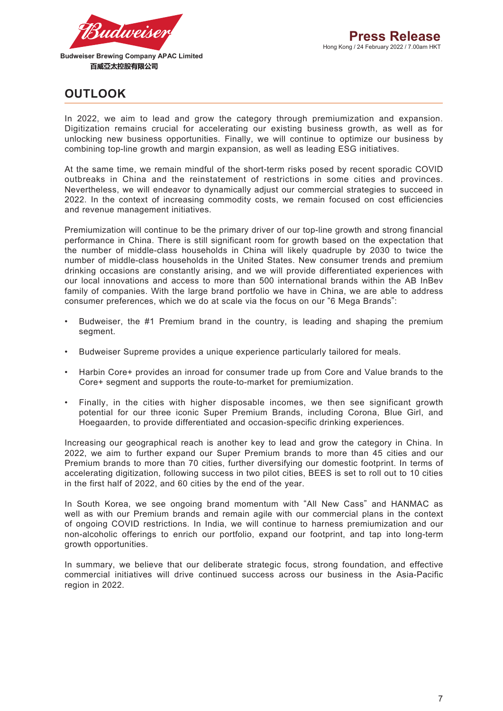

# **OUTLOOK**

In 2022, we aim to lead and grow the category through premiumization and expansion. Digitization remains crucial for accelerating our existing business growth, as well as for unlocking new business opportunities. Finally, we will continue to optimize our business by combining top-line growth and margin expansion, as well as leading ESG initiatives.

At the same time, we remain mindful of the short-term risks posed by recent sporadic COVID outbreaks in China and the reinstatement of restrictions in some cities and provinces. Nevertheless, we will endeavor to dynamically adjust our commercial strategies to succeed in 2022. In the context of increasing commodity costs, we remain focused on cost efficiencies and revenue management initiatives.

Premiumization will continue to be the primary driver of our top-line growth and strong financial performance in China. There is still significant room for growth based on the expectation that the number of middle-class households in China will likely quadruple by 2030 to twice the number of middle-class households in the United States. New consumer trends and premium drinking occasions are constantly arising, and we will provide differentiated experiences with our local innovations and access to more than 500 international brands within the AB InBev family of companies. With the large brand portfolio we have in China, we are able to address consumer preferences, which we do at scale via the focus on our "6 Mega Brands":

- Budweiser, the #1 Premium brand in the country, is leading and shaping the premium segment.
- Budweiser Supreme provides a unique experience particularly tailored for meals.
- Harbin Core+ provides an inroad for consumer trade up from Core and Value brands to the Core+ segment and supports the route-to-market for premiumization.
- Finally, in the cities with higher disposable incomes, we then see significant growth potential for our three iconic Super Premium Brands, including Corona, Blue Girl, and Hoegaarden, to provide differentiated and occasion-specific drinking experiences.

Increasing our geographical reach is another key to lead and grow the category in China. In 2022, we aim to further expand our Super Premium brands to more than 45 cities and our Premium brands to more than 70 cities, further diversifying our domestic footprint. In terms of accelerating digitization, following success in two pilot cities, BEES is set to roll out to 10 cities in the first half of 2022, and 60 cities by the end of the year.

In South Korea, we see ongoing brand momentum with "All New Cass" and HANMAC as well as with our Premium brands and remain agile with our commercial plans in the context of ongoing COVID restrictions. In India, we will continue to harness premiumization and our non-alcoholic offerings to enrich our portfolio, expand our footprint, and tap into long-term growth opportunities.

In summary, we believe that our deliberate strategic focus, strong foundation, and effective commercial initiatives will drive continued success across our business in the Asia-Pacific region in 2022.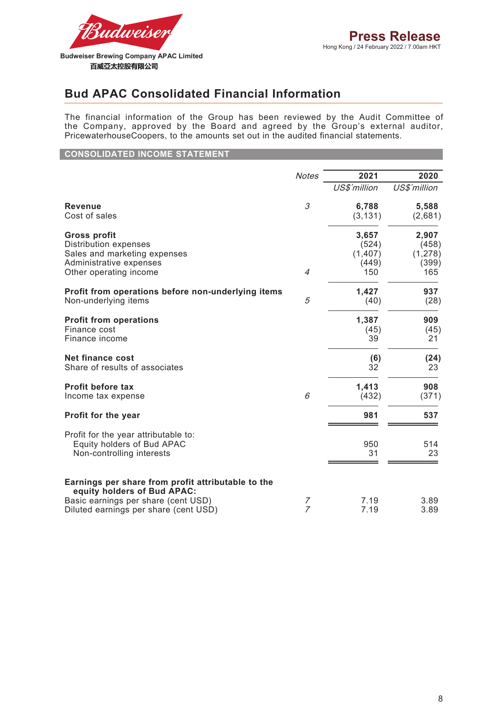

# **Bud APAC Consolidated Financial Information**

The financial information of the Group has been reviewed by the Audit Committee of the Company, approved by the Board and agreed by the Group's external auditor, PricewaterhouseCoopers, to the amounts set out in the audited financial statements.

**CONSOLIDATED INCOME STATEMENT**

|                                                                                                                          | <b>Notes</b>   | 2021         | 2020         |
|--------------------------------------------------------------------------------------------------------------------------|----------------|--------------|--------------|
|                                                                                                                          |                | US\$'million | US\$'million |
| <b>Revenue</b>                                                                                                           | 3              | 6,788        | 5,588        |
| Cost of sales                                                                                                            |                | (3, 131)     | (2,681)      |
| <b>Gross profit</b>                                                                                                      | 4              | 3,657        | 2,907        |
| Distribution expenses                                                                                                    |                | (524)        | (458)        |
| Sales and marketing expenses                                                                                             |                | (1, 407)     | (1, 278)     |
| Administrative expenses                                                                                                  |                | (449)        | (399)        |
| Other operating income                                                                                                   |                | 150          | 165          |
| Profit from operations before non-underlying items                                                                       | 5              | 1,427        | 937          |
| Non-underlying items                                                                                                     |                | (40)         | (28)         |
| <b>Profit from operations</b>                                                                                            |                | 1,387        | 909          |
| Finance cost                                                                                                             |                | (45)         | (45)         |
| Finance income                                                                                                           |                | 39           | 21           |
| <b>Net finance cost</b>                                                                                                  |                | (6)          | (24)         |
| Share of results of associates                                                                                           |                | 32           | 23           |
| <b>Profit before tax</b>                                                                                                 | 6              | 1,413        | 908          |
| Income tax expense                                                                                                       |                | (432)        | (371)        |
| Profit for the year                                                                                                      |                | 981          | 537          |
| Profit for the year attributable to:<br>Equity holders of Bud APAC<br>Non-controlling interests                          |                | 950<br>31    | 514<br>23    |
| Earnings per share from profit attributable to the<br>equity holders of Bud APAC:<br>Basic earnings per share (cent USD) | 7              | 7.19         | 3.89         |
| Diluted earnings per share (cent USD)                                                                                    | $\overline{z}$ | 7.19         | 3.89         |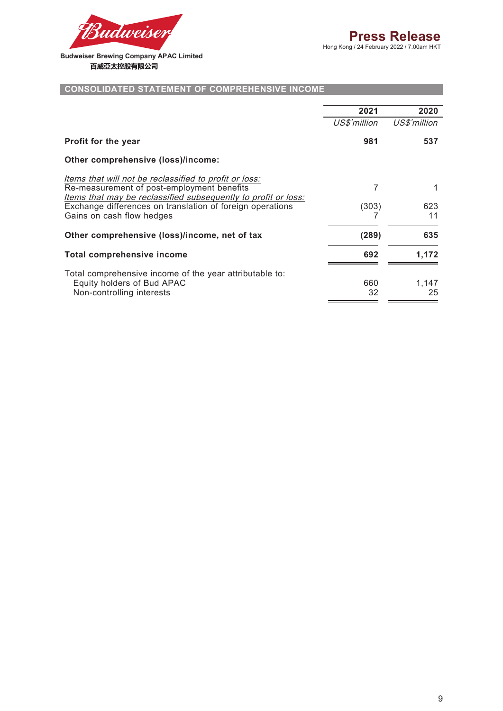

#### **CONSOLIDATED STATEMENT OF COMPREHENSIVE INCOME**

|                                                                | 2021         | 2020         |
|----------------------------------------------------------------|--------------|--------------|
|                                                                | US\$'million | US\$'million |
| <b>Profit for the year</b>                                     | 981          | 537          |
| Other comprehensive (loss)/income:                             |              |              |
| Items that will not be reclassified to profit or loss:         |              |              |
| Re-measurement of post-employment benefits                     |              |              |
| Items that may be reclassified subsequently to profit or loss: |              |              |
| Exchange differences on translation of foreign operations      | (303)        | 623          |
| Gains on cash flow hedges                                      |              | 11           |
| Other comprehensive (loss)/income, net of tax                  | (289)        | 635          |
| <b>Total comprehensive income</b>                              | 692          | 1,172        |
| Total comprehensive income of the year attributable to:        |              |              |
| Equity holders of Bud APAC                                     | 660          | 1,147        |
| Non-controlling interests                                      | 32           | 25           |
|                                                                |              |              |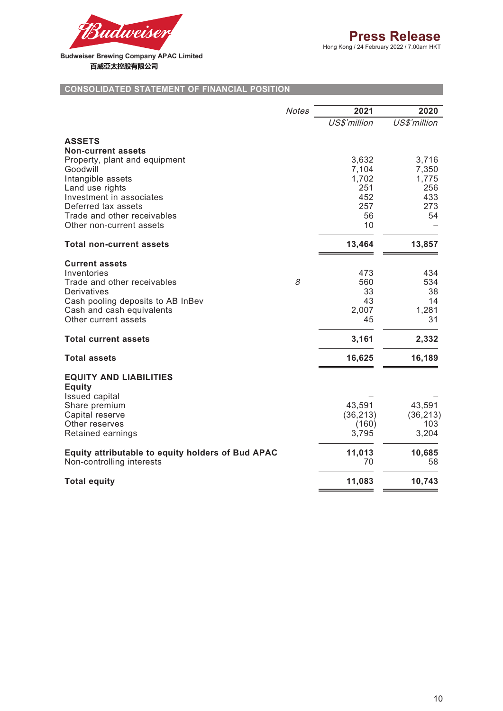

#### **CONSOLIDATED STATEMENT OF FINANCIAL POSITION**

|                                                            | <b>Notes</b> | 2021         | 2020         |
|------------------------------------------------------------|--------------|--------------|--------------|
|                                                            |              | US\$'million | US\$'million |
| <b>ASSETS</b>                                              |              |              |              |
| <b>Non-current assets</b><br>Property, plant and equipment |              | 3,632        | 3,716        |
| Goodwill                                                   |              | 7,104        | 7,350        |
| Intangible assets                                          |              | 1,702        | 1,775        |
| Land use rights                                            |              | 251          | 256          |
| Investment in associates                                   |              | 452          | 433          |
| Deferred tax assets                                        |              | 257          | 273<br>54    |
| Trade and other receivables<br>Other non-current assets    |              | 56<br>10     |              |
|                                                            |              |              |              |
| <b>Total non-current assets</b>                            |              | 13,464       | 13,857       |
| <b>Current assets</b>                                      |              |              |              |
| Inventories                                                |              | 473          | 434          |
| Trade and other receivables                                | 8            | 560          | 534          |
| Derivatives                                                |              | 33           | 38           |
| Cash pooling deposits to AB InBev                          |              | 43           | 14           |
| Cash and cash equivalents                                  |              | 2,007        | 1,281        |
| Other current assets                                       |              | 45           | 31           |
| <b>Total current assets</b>                                |              | 3,161        | 2,332        |
| <b>Total assets</b>                                        |              | 16,625       | 16,189       |
| <b>EQUITY AND LIABILITIES</b>                              |              |              |              |
| <b>Equity</b>                                              |              |              |              |
| <b>Issued capital</b>                                      |              |              |              |
| Share premium                                              |              | 43,591       | 43,591       |
| Capital reserve                                            |              | (36, 213)    | (36, 213)    |
| Other reserves                                             |              | (160)        | 103<br>3,204 |
| Retained earnings                                          |              | 3,795        |              |
| Equity attributable to equity holders of Bud APAC          |              | 11,013       | 10,685       |
| Non-controlling interests                                  |              | 70           | 58           |
| <b>Total equity</b>                                        |              | 11,083       | 10,743       |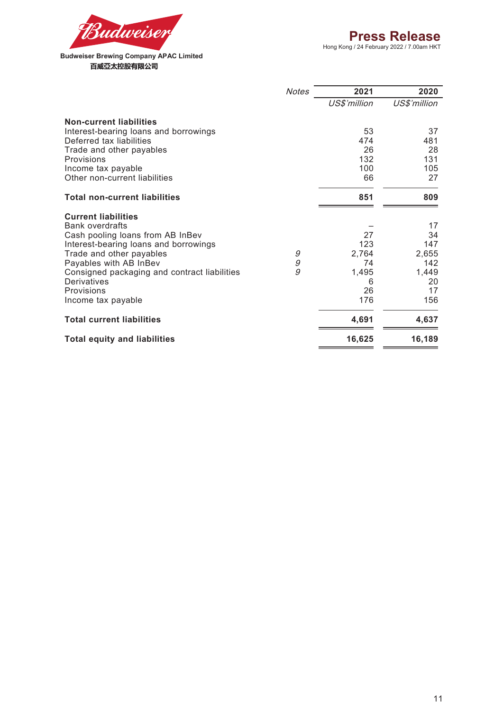

|                                              | <b>Notes</b> | 2021         | 2020         |
|----------------------------------------------|--------------|--------------|--------------|
|                                              |              | US\$'million | US\$'million |
| <b>Non-current liabilities</b>               |              |              |              |
| Interest-bearing loans and borrowings        |              | 53           | 37           |
| Deferred tax liabilities                     |              | 474          | 481          |
| Trade and other payables                     |              | 26           | 28           |
| Provisions                                   |              | 132          | 131          |
| Income tax payable                           |              | 100          | 105          |
| Other non-current liabilities                |              | 66           | 27           |
| <b>Total non-current liabilities</b>         |              | 851          | 809          |
| <b>Current liabilities</b>                   |              |              |              |
| <b>Bank overdrafts</b>                       |              |              | 17           |
| Cash pooling loans from AB InBev             |              | 27           | 34           |
| Interest-bearing loans and borrowings        |              | 123          | 147          |
| Trade and other payables                     | 9            | 2,764        | 2,655        |
| Payables with AB InBev                       | 9            | 74           | 142          |
| Consigned packaging and contract liabilities | 9            | 1,495        | 1,449        |
| Derivatives<br>Provisions                    |              | 6<br>26      | 20<br>17     |
|                                              |              | 176          | 156          |
| Income tax payable                           |              |              |              |
| <b>Total current liabilities</b>             |              | 4,691        | 4,637        |
| <b>Total equity and liabilities</b>          |              | 16,625       | 16,189       |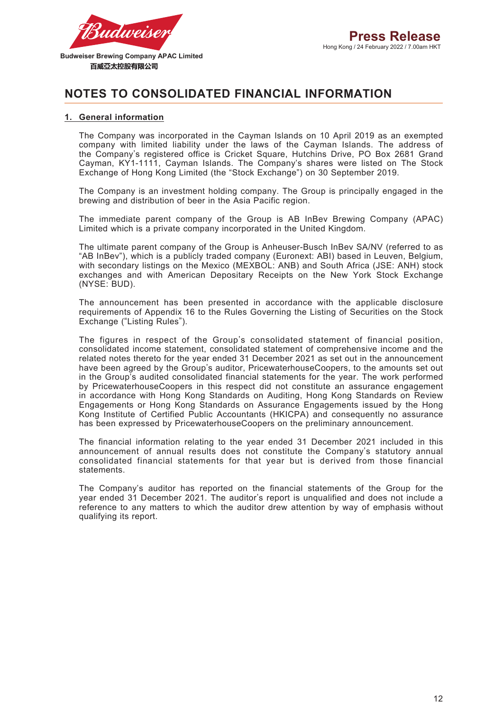

### **NOTES TO CONSOLIDATED FINANCIAL INFORMATION**

#### **1. General information**

The Company was incorporated in the Cayman Islands on 10 April 2019 as an exempted company with limited liability under the laws of the Cayman Islands. The address of the Company's registered office is Cricket Square, Hutchins Drive, PO Box 2681 Grand Cayman, KY1-1111, Cayman Islands. The Company's shares were listed on The Stock Exchange of Hong Kong Limited (the "Stock Exchange") on 30 September 2019.

The Company is an investment holding company. The Group is principally engaged in the brewing and distribution of beer in the Asia Pacific region.

The immediate parent company of the Group is AB InBev Brewing Company (APAC) Limited which is a private company incorporated in the United Kingdom.

The ultimate parent company of the Group is Anheuser-Busch InBev SA/NV (referred to as "AB InBev"), which is a publicly traded company (Euronext: ABI) based in Leuven, Belgium, with secondary listings on the Mexico (MEXBOL: ANB) and South Africa (JSE: ANH) stock exchanges and with American Depositary Receipts on the New York Stock Exchange (NYSE: BUD).

The announcement has been presented in accordance with the applicable disclosure requirements of Appendix 16 to the Rules Governing the Listing of Securities on the Stock Exchange ("Listing Rules").

The figures in respect of the Group's consolidated statement of financial position, consolidated income statement, consolidated statement of comprehensive income and the related notes thereto for the year ended 31 December 2021 as set out in the announcement have been agreed by the Group's auditor, PricewaterhouseCoopers, to the amounts set out in the Group's audited consolidated financial statements for the year. The work performed by PricewaterhouseCoopers in this respect did not constitute an assurance engagement in accordance with Hong Kong Standards on Auditing, Hong Kong Standards on Review Engagements or Hong Kong Standards on Assurance Engagements issued by the Hong Kong Institute of Certified Public Accountants (HKICPA) and consequently no assurance has been expressed by PricewaterhouseCoopers on the preliminary announcement.

The financial information relating to the year ended 31 December 2021 included in this announcement of annual results does not constitute the Company's statutory annual consolidated financial statements for that year but is derived from those financial statements.

The Company's auditor has reported on the financial statements of the Group for the year ended 31 December 2021. The auditor's report is unqualified and does not include a reference to any matters to which the auditor drew attention by way of emphasis without qualifying its report.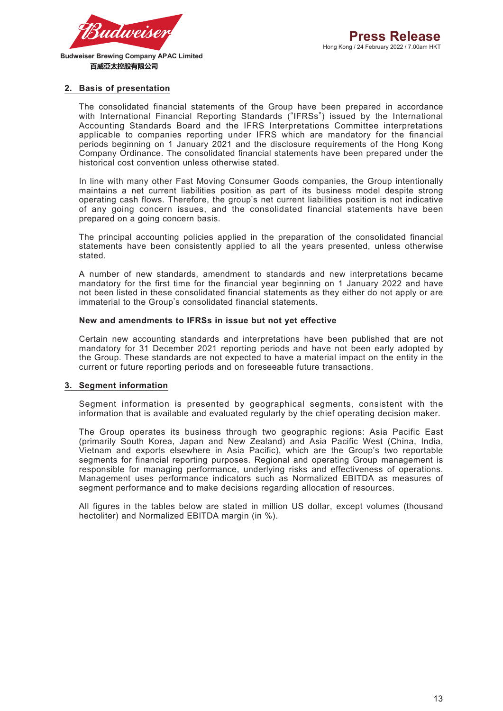

百威亞太控股有限公司

#### **2. Basis of presentation**

The consolidated financial statements of the Group have been prepared in accordance with International Financial Reporting Standards ("IFRSs") issued by the International Accounting Standards Board and the IFRS Interpretations Committee interpretations applicable to companies reporting under IFRS which are mandatory for the financial periods beginning on 1 January 2021 and the disclosure requirements of the Hong Kong Company Ordinance. The consolidated financial statements have been prepared under the historical cost convention unless otherwise stated.

In line with many other Fast Moving Consumer Goods companies, the Group intentionally maintains a net current liabilities position as part of its business model despite strong operating cash flows. Therefore, the group's net current liabilities position is not indicative of any going concern issues, and the consolidated financial statements have been prepared on a going concern basis.

The principal accounting policies applied in the preparation of the consolidated financial statements have been consistently applied to all the years presented, unless otherwise stated.

A number of new standards, amendment to standards and new interpretations became mandatory for the first time for the financial year beginning on 1 January 2022 and have not been listed in these consolidated financial statements as they either do not apply or are immaterial to the Group's consolidated financial statements.

#### **New and amendments to IFRSs in issue but not yet effective**

Certain new accounting standards and interpretations have been published that are not mandatory for 31 December 2021 reporting periods and have not been early adopted by the Group. These standards are not expected to have a material impact on the entity in the current or future reporting periods and on foreseeable future transactions.

#### **3. Segment information**

Segment information is presented by geographical segments, consistent with the information that is available and evaluated regularly by the chief operating decision maker.

The Group operates its business through two geographic regions: Asia Pacific East (primarily South Korea, Japan and New Zealand) and Asia Pacific West (China, India, Vietnam and exports elsewhere in Asia Pacific), which are the Group's two reportable segments for financial reporting purposes. Regional and operating Group management is responsible for managing performance, underlying risks and effectiveness of operations. Management uses performance indicators such as Normalized EBITDA as measures of segment performance and to make decisions regarding allocation of resources.

All figures in the tables below are stated in million US dollar, except volumes (thousand hectoliter) and Normalized EBITDA margin (in %).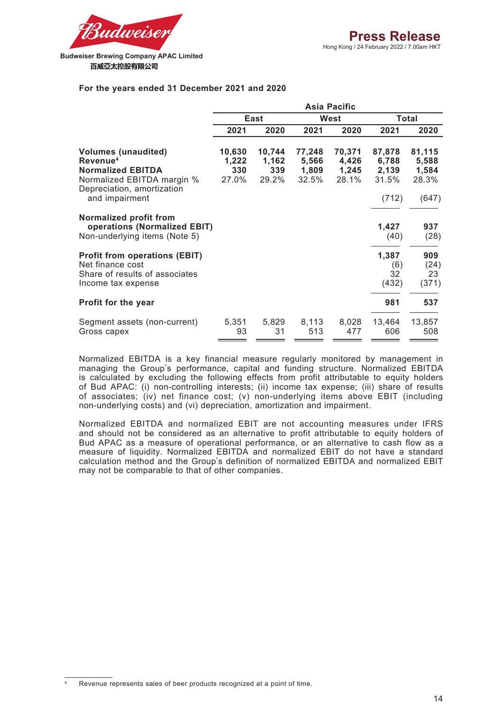

#### **For the years ended 31 December 2021 and 2020**

|                                                                                                                                                              |                                 |                                 |                                   | <b>Asia Pacific</b>               |                                            |                                            |
|--------------------------------------------------------------------------------------------------------------------------------------------------------------|---------------------------------|---------------------------------|-----------------------------------|-----------------------------------|--------------------------------------------|--------------------------------------------|
|                                                                                                                                                              |                                 | East                            |                                   | <b>West</b>                       |                                            | Total                                      |
|                                                                                                                                                              | 2021                            | 2020                            | 2021                              | 2020                              | 2021                                       | 2020                                       |
| <b>Volumes (unaudited)</b><br>Revenue <sup>4</sup><br><b>Normalized EBITDA</b><br>Normalized EBITDA margin %<br>Depreciation, amortization<br>and impairment | 10,630<br>1,222<br>330<br>27.0% | 10,744<br>1,162<br>339<br>29.2% | 77,248<br>5,566<br>1,809<br>32.5% | 70,371<br>4,426<br>1,245<br>28.1% | 87,878<br>6,788<br>2,139<br>31.5%<br>(712) | 81,115<br>5,588<br>1,584<br>28.3%<br>(647) |
| Normalized profit from<br>operations (Normalized EBIT)<br>Non-underlying items (Note 5)                                                                      |                                 |                                 |                                   |                                   | 1,427<br>(40)                              | 937<br>(28)                                |
| <b>Profit from operations (EBIT)</b><br>Net finance cost<br>Share of results of associates<br>Income tax expense                                             |                                 |                                 |                                   |                                   | 1,387<br>(6)<br>32<br>(432)                | 909<br>(24)<br>23<br>(371)                 |
| <b>Profit for the year</b>                                                                                                                                   |                                 |                                 |                                   |                                   | 981                                        | 537                                        |
| Segment assets (non-current)<br>Gross capex                                                                                                                  | 5,351<br>93                     | 5,829<br>31                     | 8,113<br>513                      | 8,028<br>477                      | 13,464<br>606                              | 13,857<br>508                              |

Normalized EBITDA is a key financial measure regularly monitored by management in managing the Group's performance, capital and funding structure. Normalized EBITDA is calculated by excluding the following effects from profit attributable to equity holders of Bud APAC: (i) non-controlling interests; (ii) income tax expense; (iii) share of results of associates; (iv) net finance cost; (v) non-underlying items above EBIT (including non-underlying costs) and (vi) depreciation, amortization and impairment.

Normalized EBITDA and normalized EBIT are not accounting measures under IFRS and should not be considered as an alternative to profit attributable to equity holders of Bud APAC as a measure of operational performance, or an alternative to cash flow as a measure of liquidity. Normalized EBITDA and normalized EBIT do not have a standard calculation method and the Group's definition of normalized EBITDA and normalized EBIT may not be comparable to that of other companies.

Revenue represents sales of beer products recognized at a point of time.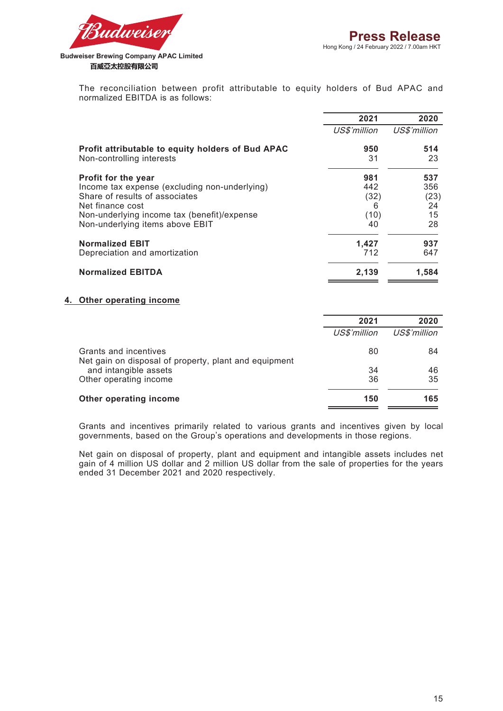

> The reconciliation between profit attributable to equity holders of Bud APAC and normalized EBITDA is as follows:

|                                                                                | 2021         | 2020         |
|--------------------------------------------------------------------------------|--------------|--------------|
|                                                                                | US\$'million | US\$'million |
| Profit attributable to equity holders of Bud APAC<br>Non-controlling interests | 950<br>31    | 514<br>23    |
| Profit for the year                                                            | 981          | 537          |
| Income tax expense (excluding non-underlying)                                  | 442          | 356          |
| Share of results of associates                                                 | (32)         | (23)         |
| Net finance cost                                                               | 6            | 24           |
| Non-underlying income tax (benefit)/expense                                    | (10)         | 15           |
| Non-underlying items above EBIT                                                | 40           | 28           |
| <b>Normalized EBIT</b>                                                         | 1,427        | 937          |
| Depreciation and amortization                                                  | 712          | 647          |
| <b>Normalized EBITDA</b>                                                       | 2,139        | 1,584        |

#### **4. Other operating income**

|                                                                                | 2021         | 2020         |
|--------------------------------------------------------------------------------|--------------|--------------|
|                                                                                | US\$'million | US\$'million |
| Grants and incentives<br>Net gain on disposal of property, plant and equipment | 80           | 84           |
| and intangible assets                                                          | 34           | 46           |
| Other operating income                                                         | 36           | 35           |
| Other operating income                                                         | 150          | 165          |

Grants and incentives primarily related to various grants and incentives given by local governments, based on the Group's operations and developments in those regions.

Net gain on disposal of property, plant and equipment and intangible assets includes net gain of 4 million US dollar and 2 million US dollar from the sale of properties for the years ended 31 December 2021 and 2020 respectively.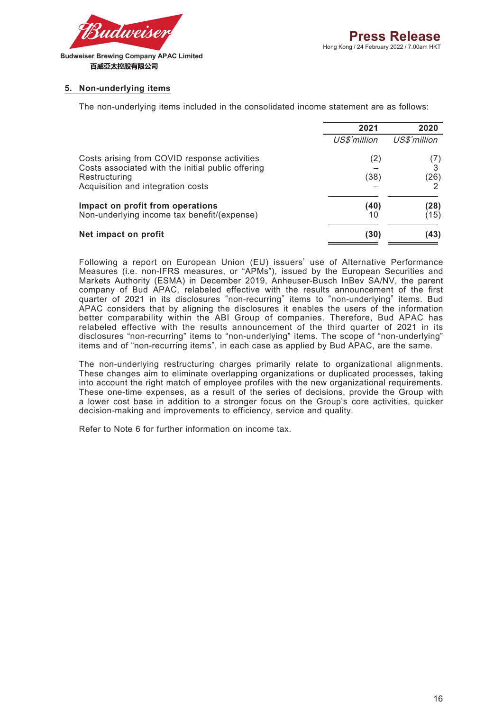

#### **5. Non-underlying items**

The non-underlying items included in the consolidated income statement are as follows:

|                                                                                                   | 2021         | 2020         |
|---------------------------------------------------------------------------------------------------|--------------|--------------|
|                                                                                                   | US\$'million | US\$'million |
| Costs arising from COVID response activities<br>Costs associated with the initial public offering | (2)          | 3            |
| Restructuring<br>Acquisition and integration costs                                                | (38)         | (26)         |
| Impact on profit from operations<br>Non-underlying income tax benefit/(expense)                   | (40)<br>10   | (28)<br>(15) |
| Net impact on profit                                                                              | (30)         | (43)         |

Following a report on European Union (EU) issuers' use of Alternative Performance Measures (i.e. non-IFRS measures, or "APMs"), issued by the European Securities and Markets Authority (ESMA) in December 2019, Anheuser-Busch InBev SA/NV, the parent company of Bud APAC, relabeled effective with the results announcement of the first quarter of 2021 in its disclosures "non-recurring" items to "non-underlying" items. Bud APAC considers that by aligning the disclosures it enables the users of the information better comparability within the ABI Group of companies. Therefore, Bud APAC has relabeled effective with the results announcement of the third quarter of 2021 in its disclosures "non-recurring" items to "non-underlying" items. The scope of "non-underlying" items and of "non-recurring items", in each case as applied by Bud APAC, are the same.

The non-underlying restructuring charges primarily relate to organizational alignments. These changes aim to eliminate overlapping organizations or duplicated processes, taking into account the right match of employee profiles with the new organizational requirements. These one-time expenses, as a result of the series of decisions, provide the Group with a lower cost base in addition to a stronger focus on the Group's core activities, quicker decision-making and improvements to efficiency, service and quality.

Refer to Note 6 for further information on income tax.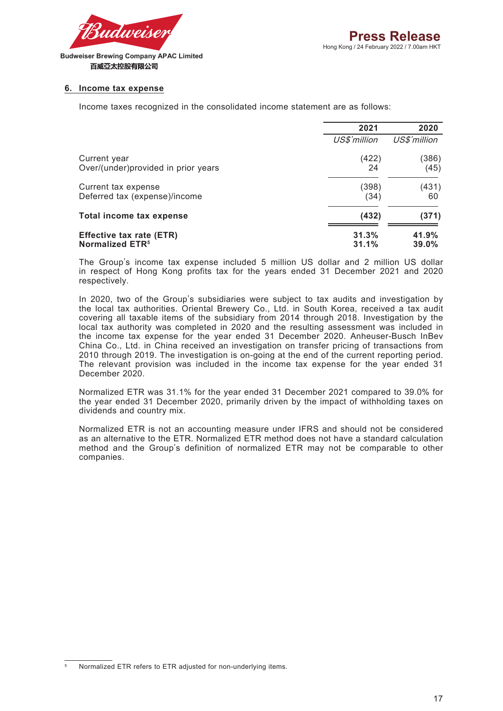

#### **6. Income tax expense**

Income taxes recognized in the consolidated income statement are as follows:

|                                     | 2021         | 2020         |
|-------------------------------------|--------------|--------------|
|                                     | US\$'million | US\$'million |
| Current year                        | (422)        | (386)        |
| Over/(under)provided in prior years | 24           | (45)         |
| Current tax expense                 | (398)        | (431)        |
| Deferred tax (expense)/income       | (34)         | 60           |
| Total income tax expense            | (432)        | (371)        |
| Effective tax rate (ETR)            | 31.3%        | 41.9%        |
| Normalized ETR <sup>5</sup>         | 31.1%        | 39.0%        |

The Group's income tax expense included 5 million US dollar and 2 million US dollar in respect of Hong Kong profits tax for the years ended 31 December 2021 and 2020 respectively.

In 2020, two of the Group's subsidiaries were subject to tax audits and investigation by the local tax authorities. Oriental Brewery Co., Ltd. in South Korea, received a tax audit covering all taxable items of the subsidiary from 2014 through 2018. Investigation by the local tax authority was completed in 2020 and the resulting assessment was included in the income tax expense for the year ended 31 December 2020. Anheuser-Busch InBev China Co., Ltd. in China received an investigation on transfer pricing of transactions from 2010 through 2019. The investigation is on-going at the end of the current reporting period. The relevant provision was included in the income tax expense for the year ended 31 December 2020.

Normalized ETR was 31.1% for the year ended 31 December 2021 compared to 39.0% for the year ended 31 December 2020, primarily driven by the impact of withholding taxes on dividends and country mix.

Normalized ETR is not an accounting measure under IFRS and should not be considered as an alternative to the ETR. Normalized ETR method does not have a standard calculation method and the Group's definition of normalized ETR may not be comparable to other companies.

<sup>5</sup> Normalized ETR refers to ETR adjusted for non-underlying items.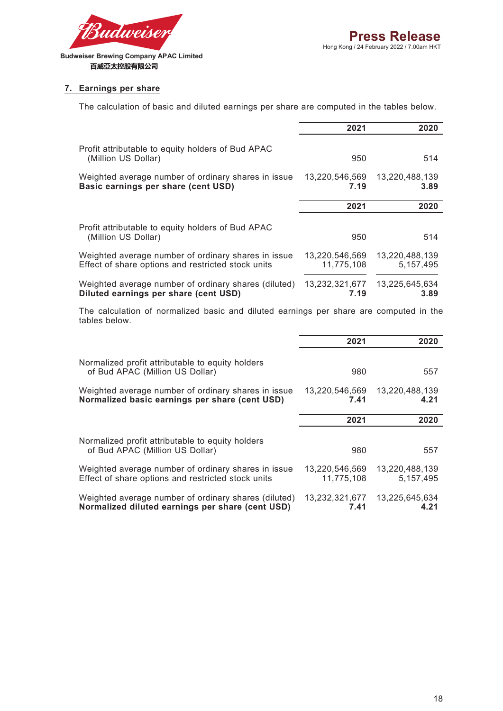

#### **7. Earnings per share**

The calculation of basic and diluted earnings per share are computed in the tables below.

|                                                                                                           | 2021                         | 2020                          |
|-----------------------------------------------------------------------------------------------------------|------------------------------|-------------------------------|
| Profit attributable to equity holders of Bud APAC<br>(Million US Dollar)                                  | 950                          | 514                           |
| Weighted average number of ordinary shares in issue<br>Basic earnings per share (cent USD)                | 13,220,546,569<br>7.19       | 13,220,488,139<br>3.89        |
|                                                                                                           | 2021                         | 2020                          |
| Profit attributable to equity holders of Bud APAC<br>(Million US Dollar)                                  | 950                          | 514                           |
| Weighted average number of ordinary shares in issue<br>Effect of share options and restricted stock units | 13.220.546.569<br>11.775.108 | 13.220.488.139<br>5, 157, 495 |
| Weighted average number of ordinary shares (diluted)<br>Diluted earnings per share (cent USD)             | 13,232,321,677<br>7.19       | 13.225.645.634<br>3.89        |

The calculation of normalized basic and diluted earnings per share are computed in the tables below.

|                                                                                                           | 2021                         | 2020                        |
|-----------------------------------------------------------------------------------------------------------|------------------------------|-----------------------------|
| Normalized profit attributable to equity holders<br>of Bud APAC (Million US Dollar)                       | 980                          | 557                         |
| Weighted average number of ordinary shares in issue<br>Normalized basic earnings per share (cent USD)     | 13,220,546,569<br>7.41       | 13,220,488,139<br>4.21      |
|                                                                                                           | 2021                         | 2020                        |
| Normalized profit attributable to equity holders<br>of Bud APAC (Million US Dollar)                       | 980                          | 557                         |
| Weighted average number of ordinary shares in issue<br>Effect of share options and restricted stock units | 13,220,546,569<br>11,775,108 | 13,220,488,139<br>5.157.495 |
| Weighted average number of ordinary shares (diluted)<br>Normalized diluted earnings per share (cent USD)  | 13,232,321,677<br>7.41       | 13,225,645,634<br>4.21      |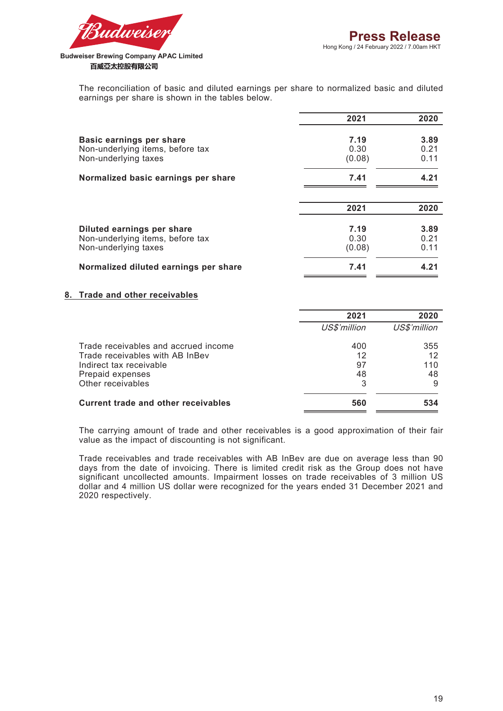

> The reconciliation of basic and diluted earnings per share to normalized basic and diluted earnings per share is shown in the tables below.

|                                                                                        | 2021                   | 2020                 |
|----------------------------------------------------------------------------------------|------------------------|----------------------|
| Basic earnings per share<br>Non-underlying items, before tax<br>Non-underlying taxes   | 7.19<br>0.30<br>(0.08) | 3.89<br>0.21<br>0.11 |
| Normalized basic earnings per share                                                    | 7.41                   | 4.21                 |
|                                                                                        | 2021                   | 2020                 |
| Diluted earnings per share<br>Non-underlying items, before tax<br>Non-underlying taxes | 7.19<br>0.30<br>(0.08) | 3.89<br>0.21<br>0.11 |
| Normalized diluted earnings per share                                                  | 7.41                   | 4.21                 |

#### **8. Trade and other receivables**

|                                      | 2021         | 2020         |
|--------------------------------------|--------------|--------------|
|                                      | US\$'million | US\$'million |
| Trade receivables and accrued income | 400          | 355          |
| Trade receivables with AB InBev      | 12           | 12           |
| Indirect tax receivable              | 97           | 110          |
| Prepaid expenses                     | 48           | 48           |
| Other receivables                    | 3            |              |
| Current trade and other receivables  | 560          | 534          |

The carrying amount of trade and other receivables is a good approximation of their fair value as the impact of discounting is not significant.

Trade receivables and trade receivables with AB InBev are due on average less than 90 days from the date of invoicing. There is limited credit risk as the Group does not have significant uncollected amounts. Impairment losses on trade receivables of 3 million US dollar and 4 million US dollar were recognized for the years ended 31 December 2021 and 2020 respectively.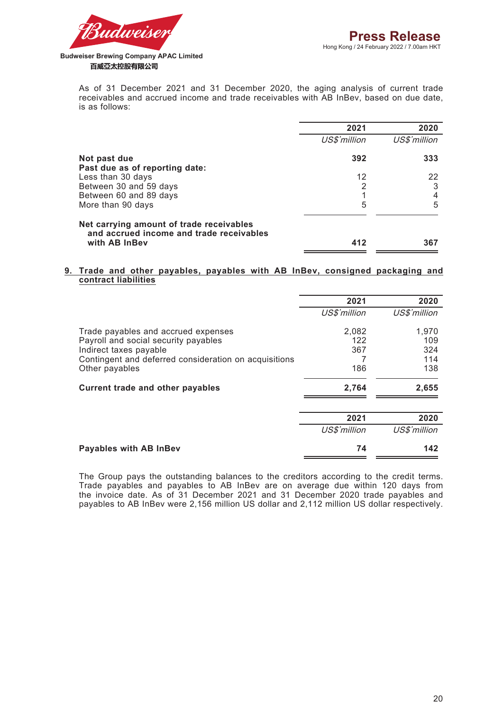

As of 31 December 2021 and 31 December 2020, the aging analysis of current trade receivables and accrued income and trade receivables with AB InBev, based on due date, is as follows:

|                                                                                                       | 2021         | 2020         |
|-------------------------------------------------------------------------------------------------------|--------------|--------------|
|                                                                                                       | US\$'million | US\$'million |
| Not past due                                                                                          | 392          | 333          |
| Past due as of reporting date:                                                                        |              |              |
| Less than 30 days                                                                                     | 12           | 22           |
| Between 30 and 59 days                                                                                | 2            | 3            |
| Between 60 and 89 days                                                                                |              | 4            |
| More than 90 days                                                                                     | 5            | 5            |
| Net carrying amount of trade receivables<br>and accrued income and trade receivables<br>with AB InBev | 412          | 367          |

#### **9. Trade and other payables, payables with AB InBev, consigned packaging and contract liabilities**

|                                                       | 2021         | 2020         |  |
|-------------------------------------------------------|--------------|--------------|--|
|                                                       | US\$'million | US\$'million |  |
| Trade payables and accrued expenses                   | 2,082        | 1,970        |  |
| Payroll and social security payables                  | 122          | 109          |  |
| Indirect taxes payable                                | 367          | 324          |  |
| Contingent and deferred consideration on acquisitions |              | 114          |  |
| Other payables                                        | 186          | 138          |  |
| <b>Current trade and other payables</b>               | 2,764        | 2,655        |  |
|                                                       | 2021         | 2020         |  |
|                                                       | US\$'million | US\$'million |  |
| <b>Payables with AB InBev</b>                         | 74           | 142          |  |

The Group pays the outstanding balances to the creditors according to the credit terms. Trade payables and payables to AB InBev are on average due within 120 days from the invoice date. As of 31 December 2021 and 31 December 2020 trade payables and payables to AB InBev were 2,156 million US dollar and 2,112 million US dollar respectively.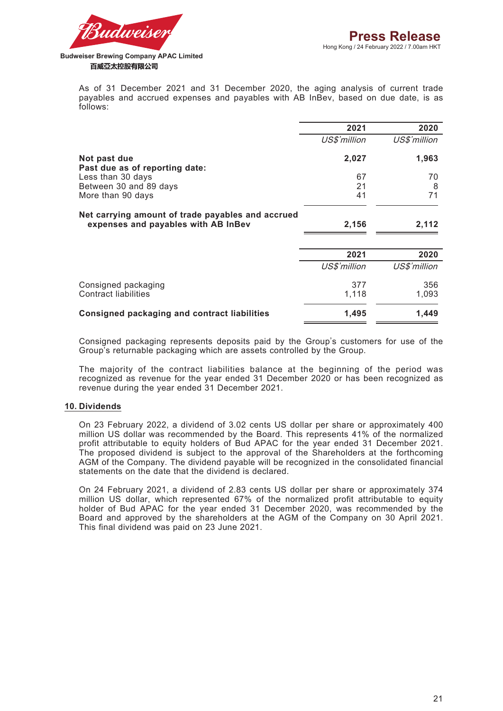

As of 31 December 2021 and 31 December 2020, the aging analysis of current trade payables and accrued expenses and payables with AB InBev, based on due date, is as follows:

| 2021         | 2020                 |
|--------------|----------------------|
| US\$'million | US\$'million         |
| 2,027        | 1,963                |
| 67           | 70                   |
| 21           | 8                    |
| 41           | 71                   |
| 2,156        | 2,112                |
|              | 2020                 |
|              |                      |
|              | US\$'million         |
| 377          | 356                  |
| 1,118        | 1,093                |
| 1,495        | 1,449                |
|              | 2021<br>US\$'million |

Consigned packaging represents deposits paid by the Group's customers for use of the Group's returnable packaging which are assets controlled by the Group.

The majority of the contract liabilities balance at the beginning of the period was recognized as revenue for the year ended 31 December 2020 or has been recognized as revenue during the year ended 31 December 2021.

#### **10. Dividends**

On 23 February 2022, a dividend of 3.02 cents US dollar per share or approximately 400 million US dollar was recommended by the Board. This represents 41% of the normalized profit attributable to equity holders of Bud APAC for the year ended 31 December 2021. The proposed dividend is subject to the approval of the Shareholders at the forthcoming AGM of the Company. The dividend payable will be recognized in the consolidated financial statements on the date that the dividend is declared.

On 24 February 2021, a dividend of 2.83 cents US dollar per share or approximately 374 million US dollar, which represented 67% of the normalized profit attributable to equity holder of Bud APAC for the year ended 31 December 2020, was recommended by the Board and approved by the shareholders at the AGM of the Company on 30 April 2021. This final dividend was paid on 23 June 2021.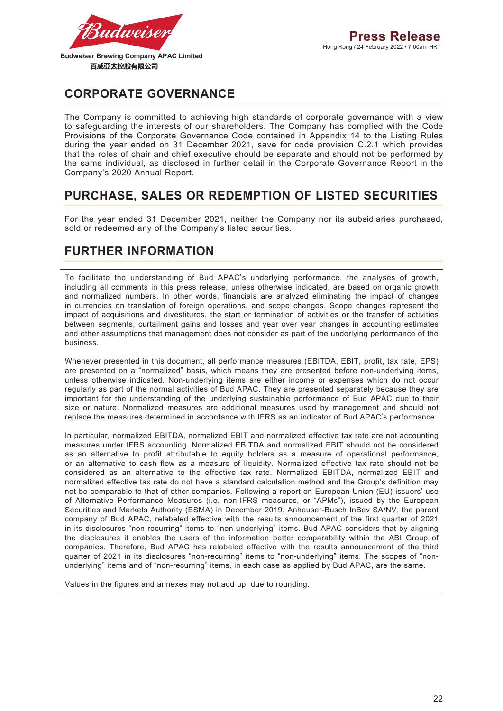

**CORPORATE GOVERNANCE**

The Company is committed to achieving high standards of corporate governance with a view to safeguarding the interests of our shareholders. The Company has complied with the Code Provisions of the Corporate Governance Code contained in Appendix 14 to the Listing Rules during the year ended on 31 December 2021, save for code provision C.2.1 which provides that the roles of chair and chief executive should be separate and should not be performed by the same individual, as disclosed in further detail in the Corporate Governance Report in the Company's 2020 Annual Report.

# **PURCHASE, SALES OR REDEMPTION OF LISTED SECURITIES**

For the year ended 31 December 2021, neither the Company nor its subsidiaries purchased, sold or redeemed any of the Company's listed securities.

## **FURTHER INFORMATION**

To facilitate the understanding of Bud APAC's underlying performance, the analyses of growth, including all comments in this press release, unless otherwise indicated, are based on organic growth and normalized numbers. In other words, financials are analyzed eliminating the impact of changes in currencies on translation of foreign operations, and scope changes. Scope changes represent the impact of acquisitions and divestitures, the start or termination of activities or the transfer of activities between segments, curtailment gains and losses and year over year changes in accounting estimates and other assumptions that management does not consider as part of the underlying performance of the business.

Whenever presented in this document, all performance measures (EBITDA, EBIT, profit, tax rate, EPS) are presented on a "normalized" basis, which means they are presented before non-underlying items, unless otherwise indicated. Non-underlying items are either income or expenses which do not occur regularly as part of the normal activities of Bud APAC. They are presented separately because they are important for the understanding of the underlying sustainable performance of Bud APAC due to their size or nature. Normalized measures are additional measures used by management and should not replace the measures determined in accordance with IFRS as an indicator of Bud APAC's performance.

In particular, normalized EBITDA, normalized EBIT and normalized effective tax rate are not accounting measures under IFRS accounting. Normalized EBITDA and normalized EBIT should not be considered as an alternative to profit attributable to equity holders as a measure of operational performance, or an alternative to cash flow as a measure of liquidity. Normalized effective tax rate should not be considered as an alternative to the effective tax rate. Normalized EBITDA, normalized EBIT and normalized effective tax rate do not have a standard calculation method and the Group's definition may not be comparable to that of other companies. Following a report on European Union (EU) issuers' use of Alternative Performance Measures (i.e. non-IFRS measures, or "APMs"), issued by the European Securities and Markets Authority (ESMA) in December 2019, Anheuser-Busch InBev SA/NV, the parent company of Bud APAC, relabeled effective with the results announcement of the first quarter of 2021 in its disclosures "non-recurring" items to "non-underlying" items. Bud APAC considers that by aligning the disclosures it enables the users of the information better comparability within the ABI Group of companies. Therefore, Bud APAC has relabeled effective with the results announcement of the third quarter of 2021 in its disclosures "non-recurring" items to "non-underlying" items. The scopes of "nonunderlying" items and of "non-recurring" items, in each case as applied by Bud APAC, are the same.

Values in the figures and annexes may not add up, due to rounding.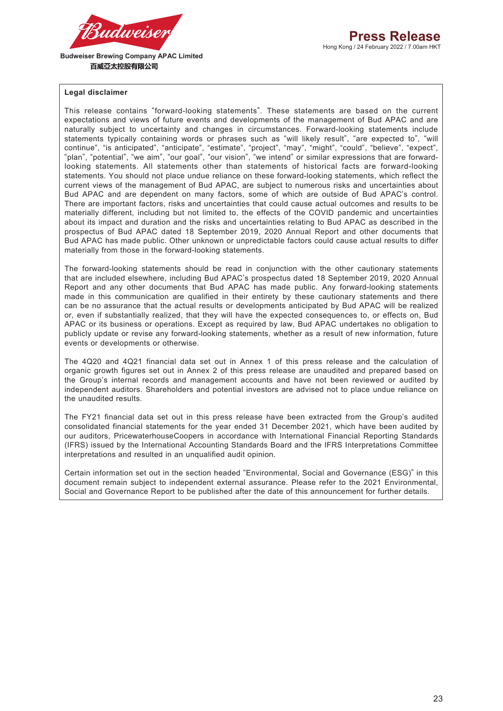

#### **Legal disclaimer**

This release contains "forward-looking statements". These statements are based on the current expectations and views of future events and developments of the management of Bud APAC and are naturally subject to uncertainty and changes in circumstances. Forward-looking statements include statements typically containing words or phrases such as "will likely result", "are expected to", "will continue", "is anticipated", "anticipate", "estimate", "project", "may", "might", "could", "believe", "expect", "plan", "potential", "we aim", "our goal", "our vision", "we intend" or similar expressions that are forwardlooking statements. All statements other than statements of historical facts are forward-looking statements. You should not place undue reliance on these forward-looking statements, which reflect the current views of the management of Bud APAC, are subject to numerous risks and uncertainties about Bud APAC and are dependent on many factors, some of which are outside of Bud APAC's control. There are important factors, risks and uncertainties that could cause actual outcomes and results to be materially different, including but not limited to, the effects of the COVID pandemic and uncertainties about its impact and duration and the risks and uncertainties relating to Bud APAC as described in the prospectus of Bud APAC dated 18 September 2019, 2020 Annual Report and other documents that Bud APAC has made public. Other unknown or unpredictable factors could cause actual results to differ materially from those in the forward-looking statements.

The forward-looking statements should be read in conjunction with the other cautionary statements that are included elsewhere, including Bud APAC's prospectus dated 18 September 2019, 2020 Annual Report and any other documents that Bud APAC has made public. Any forward-looking statements made in this communication are qualified in their entirety by these cautionary statements and there can be no assurance that the actual results or developments anticipated by Bud APAC will be realized or, even if substantially realized, that they will have the expected consequences to, or effects on, Bud APAC or its business or operations. Except as required by law, Bud APAC undertakes no obligation to publicly update or revise any forward-looking statements, whether as a result of new information, future events or developments or otherwise.

The 4Q20 and 4Q21 financial data set out in Annex 1 of this press release and the calculation of organic growth figures set out in Annex 2 of this press release are unaudited and prepared based on the Group's internal records and management accounts and have not been reviewed or audited by independent auditors. Shareholders and potential investors are advised not to place undue reliance on the unaudited results.

The FY21 financial data set out in this press release have been extracted from the Group's audited consolidated financial statements for the year ended 31 December 2021, which have been audited by our auditors, PricewaterhouseCoopers in accordance with International Financial Reporting Standards (IFRS) issued by the International Accounting Standards Board and the IFRS Interpretations Committee interpretations and resulted in an unqualified audit opinion.

Certain information set out in the section headed "Environmental, Social and Governance (ESG)" in this document remain subject to independent external assurance. Please refer to the 2021 Environmental, Social and Governance Report to be published after the date of this announcement for further details.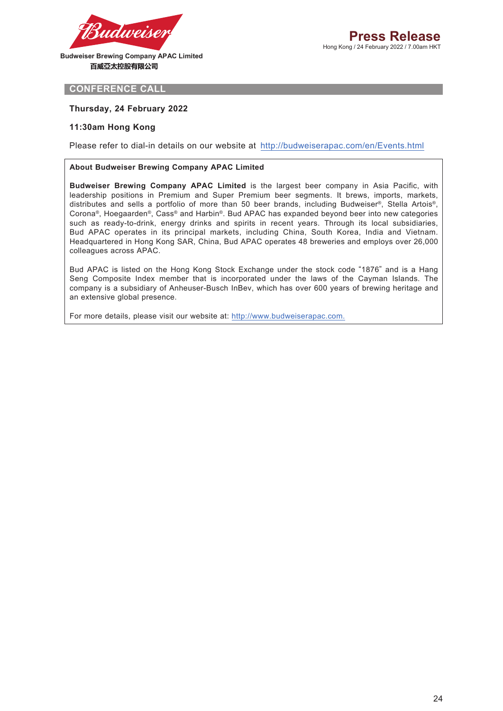

**CONFERENCE CALL**

#### **Thursday, 24 February 2022**

#### **11:30am Hong Kong**

Please refer to dial-in details on our website at http://budweiserapac.com/en/Events.html

#### **About Budweiser Brewing Company APAC Limited**

**Budweiser Brewing Company APAC Limited** is the largest beer company in Asia Pacific, with leadership positions in Premium and Super Premium beer segments. It brews, imports, markets, distributes and sells a portfolio of more than 50 beer brands, including Budweiser®, Stella Artois®, Corona®, Hoegaarden®, Cass® and Harbin®. Bud APAC has expanded beyond beer into new categories such as ready-to-drink, energy drinks and spirits in recent years. Through its local subsidiaries, Bud APAC operates in its principal markets, including China, South Korea, India and Vietnam. Headquartered in Hong Kong SAR, China, Bud APAC operates 48 breweries and employs over 26,000 colleagues across APAC.

Bud APAC is listed on the Hong Kong Stock Exchange under the stock code "1876" and is a Hang Seng Composite Index member that is incorporated under the laws of the Cayman Islands. The company is a subsidiary of Anheuser-Busch InBev, which has over 600 years of brewing heritage and an extensive global presence.

For more details, please visit our website at: http://www.budweiserapac.com.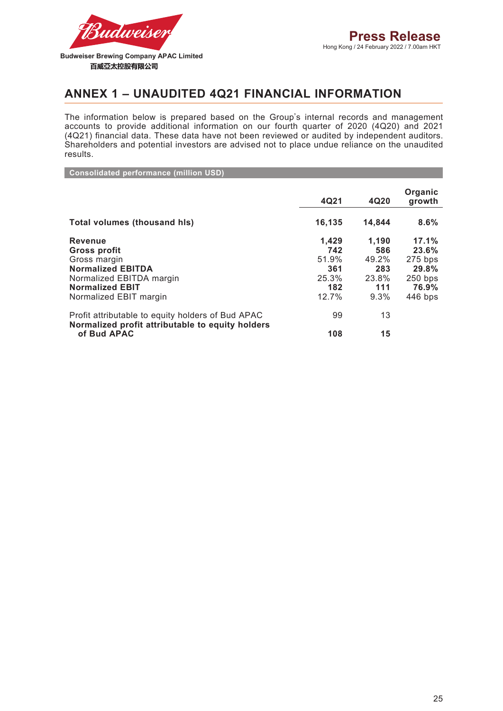

### **ANNEX 1 – UNAUDITED 4Q21 FINANCIAL INFORMATION**

The information below is prepared based on the Group's internal records and management accounts to provide additional information on our fourth quarter of 2020 (4Q20) and 2021 (4Q21) financial data. These data have not been reviewed or audited by independent auditors. Shareholders and potential investors are advised not to place undue reliance on the unaudited results.

**Consolidated performance (million USD)**

|                                                                                                       | 4Q21   | 4Q20   | Organic<br>growth |
|-------------------------------------------------------------------------------------------------------|--------|--------|-------------------|
| <b>Total volumes (thousand his)</b>                                                                   | 16,135 | 14,844 | 8.6%              |
| <b>Revenue</b>                                                                                        | 1.429  | 1.190  | 17.1%             |
| Gross profit                                                                                          | 742    | 586    | 23.6%             |
| Gross margin                                                                                          | 51.9%  | 49.2%  | $275$ bps         |
| <b>Normalized EBITDA</b>                                                                              | 361    | 283    | 29.8%             |
| Normalized EBITDA margin                                                                              | 25.3%  | 23.8%  | $250$ bps         |
| <b>Normalized EBIT</b>                                                                                | 182    | 111    | 76.9%             |
| Normalized EBIT margin                                                                                | 12.7%  | 9.3%   | 446 bps           |
| Profit attributable to equity holders of Bud APAC<br>Normalized profit attributable to equity holders | 99     | 13     |                   |
| of Bud APAC                                                                                           | 108    | 15     |                   |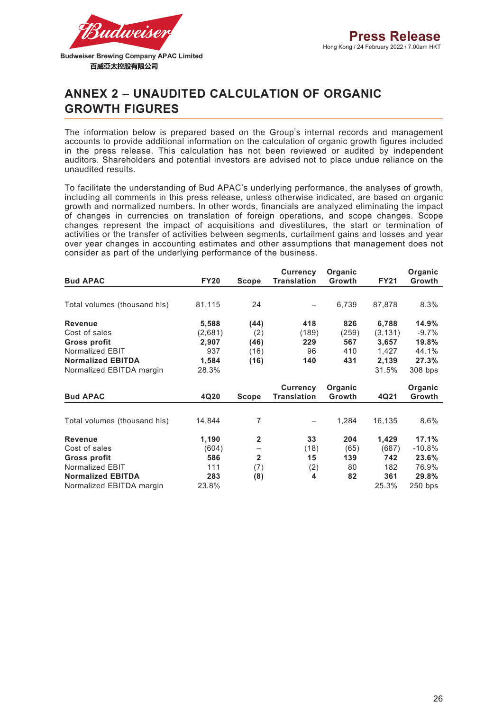

# **ANNEX 2 – UNAUDITED CALCULATION OF ORGANIC GROWTH FIGURES**

The information below is prepared based on the Group's internal records and management accounts to provide additional information on the calculation of organic growth figures included in the press release. This calculation has not been reviewed or audited by independent auditors. Shareholders and potential investors are advised not to place undue reliance on the unaudited results.

To facilitate the understanding of Bud APAC's underlying performance, the analyses of growth, including all comments in this press release, unless otherwise indicated, are based on organic growth and normalized numbers. In other words, financials are analyzed eliminating the impact of changes in currencies on translation of foreign operations, and scope changes. Scope changes represent the impact of acquisitions and divestitures, the start or termination of activities or the transfer of activities between segments, curtailment gains and losses and year over year changes in accounting estimates and other assumptions that management does not consider as part of the underlying performance of the business.

|                              |             |                | <b>Currency</b>    | Organic       |             | Organic  |
|------------------------------|-------------|----------------|--------------------|---------------|-------------|----------|
| <b>Bud APAC</b>              | <b>FY20</b> | Scope          | <b>Translation</b> | <b>Growth</b> | <b>FY21</b> | Growth   |
|                              |             |                |                    |               |             |          |
| Total volumes (thousand his) | 81,115      | 24             |                    | 6,739         | 87,878      | 8.3%     |
| <b>Revenue</b>               | 5,588       | (44)           | 418                | 826           | 6,788       | 14.9%    |
| Cost of sales                | (2,681)     | (2)            | (189)              | (259)         | (3, 131)    | $-9.7%$  |
| <b>Gross profit</b>          | 2,907       | (46)           | 229                | 567           | 3,657       | 19.8%    |
| Normalized EBIT              | 937         | (16)           | 96                 | 410           | 1,427       | 44.1%    |
| <b>Normalized EBITDA</b>     | 1,584       | (16)           | 140                | 431           | 2,139       | 27.3%    |
| Normalized EBITDA margin     | 28.3%       |                |                    |               | 31.5%       | 308 bps  |
|                              |             |                | <b>Currency</b>    | Organic       |             | Organic  |
| <b>Bud APAC</b>              | 4Q20        | <b>Scope</b>   | <b>Translation</b> | <b>Growth</b> | 4Q21        | Growth   |
| Total volumes (thousand his) | 14,844      | 7              | -                  | 1,284         | 16,135      | 8.6%     |
|                              |             |                |                    |               |             |          |
| <b>Revenue</b>               | 1,190       | $\mathbf{2}$   | 33                 | 204           | 1,429       | 17.1%    |
| Cost of sales                | (604)       |                | (18)               | (65)          | (687)       | $-10.8%$ |
| <b>Gross profit</b>          | 586         | $\overline{2}$ | 15                 | 139           | 742         | 23.6%    |
| Normalized EBIT              | 111         | (7)            | (2)                | 80            | 182         | 76.9%    |
| <b>Normalized EBITDA</b>     | 283         | (8)            | 4                  | 82            | 361         | 29.8%    |
| Normalized EBITDA margin     |             |                |                    |               |             |          |